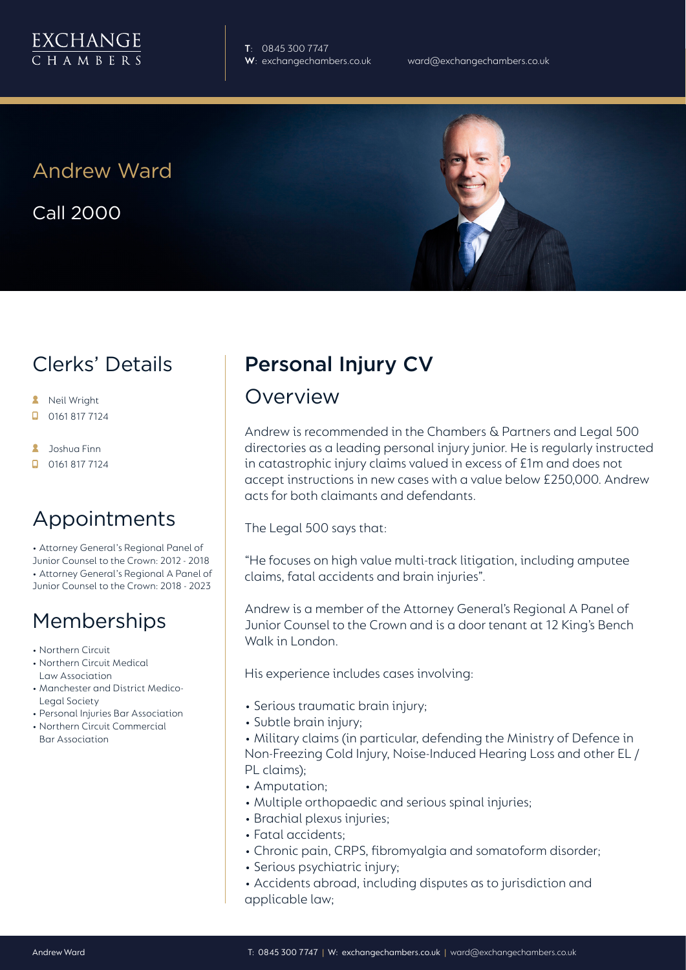**T**: 0845 300 7747

Andrew Ward

Call 2000

# Clerks' Details

- **A** Neil Wright
- $\Box$  0161 817 7124
- **A** Joshua Finn
- $\Box$  0161 817 7124

# Appointments

• Attorney General's Regional Panel of Junior Counsel to the Crown: 2012 - 2018 • Attorney General's Regional A Panel of Junior Counsel to the Crown: 2018 - 2023

# Memberships

- Northern Circuit
- Northern Circuit Medical Law Association
- Manchester and District Medico-Legal Society
- Personal Injuries Bar Association
- Northern Circuit Commercial Bar Association

# Personal Injury CV

#### Overview

Andrew is recommended in the Chambers & Partners and Legal 500 directories as a leading personal injury junior. He is regularly instructed in catastrophic injury claims valued in excess of £1m and does not accept instructions in new cases with a value below £250,000. Andrew acts for both claimants and defendants.

The Legal 500 says that:

"He focuses on high value multi-track litigation, including amputee claims, fatal accidents and brain injuries".

Andrew is a member of the Attorney General's Regional A Panel of Junior Counsel to the Crown and is a door tenant at 12 King's Bench Walk in London.

His experience includes cases involving:

- Serious traumatic brain injury;
- Subtle brain injury;
- Military claims (in particular, defending the Ministry of Defence in Non-Freezing Cold Injury, Noise-Induced Hearing Loss and other EL / PL claims);
- Amputation;
- Multiple orthopaedic and serious spinal injuries;
- Brachial plexus injuries;
- Fatal accidents;
- Chronic pain, CRPS, fibromyalgia and somatoform disorder;
- Serious psychiatric injury;
- Accidents abroad, including disputes as to jurisdiction and applicable law;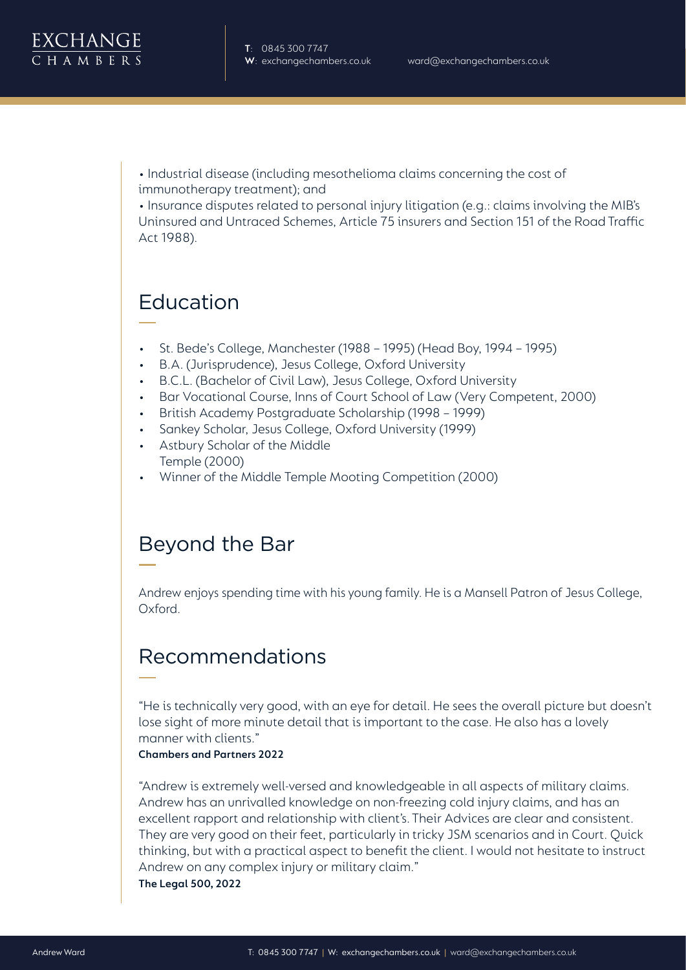• Industrial disease (including mesothelioma claims concerning the cost of immunotherapy treatment); and

• Insurance disputes related to personal injury litigation (e.g.: claims involving the MIB's Uninsured and Untraced Schemes, Article 75 insurers and Section 151 of the Road Traffic Act 1988).

# Education

- St. Bede's College, Manchester (1988 1995) (Head Boy, 1994 1995)
- B.A. (Jurisprudence), Jesus College, Oxford University
- B.C.L. (Bachelor of Civil Law), Jesus College, Oxford University
- Bar Vocational Course, Inns of Court School of Law (Very Competent, 2000)
- British Academy Postgraduate Scholarship (1998 1999)
- Sankey Scholar, Jesus College, Oxford University (1999)
- Astbury Scholar of the Middle Temple (2000)
- Winner of the Middle Temple Mooting Competition (2000)

### Beyond the Bar

Andrew enjoys spending time with his young family. He is a Mansell Patron of Jesus College, Oxford.

## Recommendations

"He is technically very good, with an eye for detail. He sees the overall picture but doesn't lose sight of more minute detail that is important to the case. He also has a lovely manner with clients."

#### **Chambers and Partners 2022**

"Andrew is extremely well-versed and knowledgeable in all aspects of military claims. Andrew has an unrivalled knowledge on non-freezing cold injury claims, and has an excellent rapport and relationship with client's. Their Advices are clear and consistent. They are very good on their feet, particularly in tricky JSM scenarios and in Court. Quick thinking, but with a practical aspect to benefit the client. I would not hesitate to instruct Andrew on any complex injury or military claim." **The Legal 500, 2022**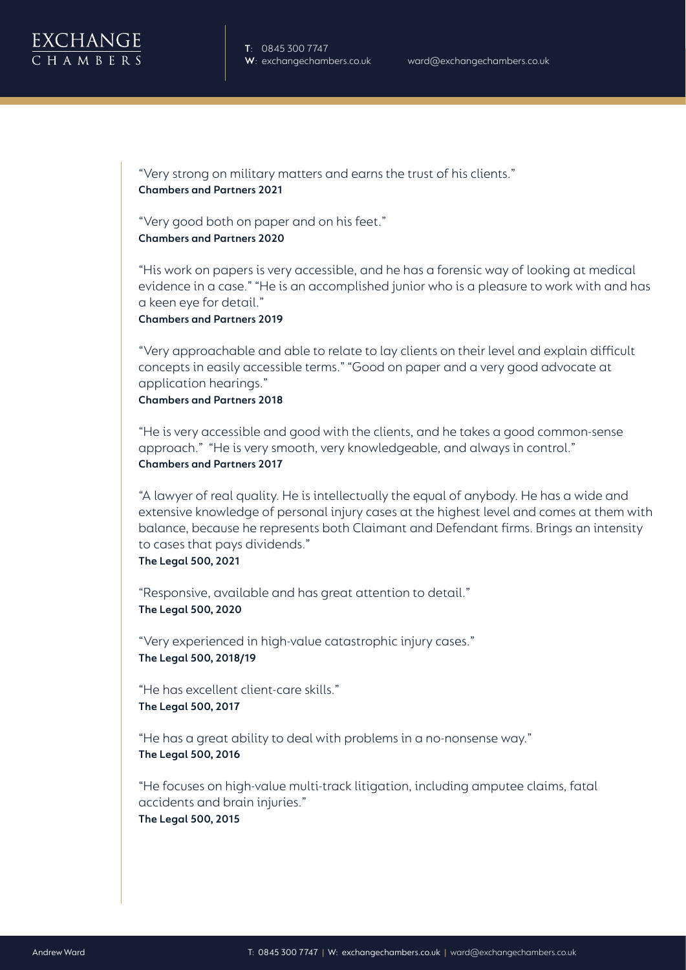

"Very strong on military matters and earns the trust of his clients." **Chambers and Partners 2021**

"Very good both on paper and on his feet." **Chambers and Partners 2020**

"His work on papers is very accessible, and he has a forensic way of looking at medical evidence in a case." "He is an accomplished junior who is a pleasure to work with and has a keen eye for detail."

**Chambers and Partners 2019**

"Very approachable and able to relate to lay clients on their level and explain difficult concepts in easily accessible terms." "Good on paper and a very good advocate at application hearings."

**Chambers and Partners 2018**

"He is very accessible and good with the clients, and he takes a good common-sense approach." "He is very smooth, very knowledgeable, and always in control." **Chambers and Partners 2017**

"A lawyer of real quality. He is intellectually the equal of anybody. He has a wide and extensive knowledge of personal injury cases at the highest level and comes at them with balance, because he represents both Claimant and Defendant firms. Brings an intensity to cases that pays dividends."

**The Legal 500, 2021**

"Responsive, available and has great attention to detail." **The Legal 500, 2020**

"Very experienced in high-value catastrophic injury cases." **The Legal 500, 2018/19**

"He has excellent client-care skills." **The Legal 500, 2017**

"He has a great ability to deal with problems in a no-nonsense way." **The Legal 500, 2016**

"He focuses on high-value multi-track litigation, including amputee claims, fatal accidents and brain injuries." **The Legal 500, 2015**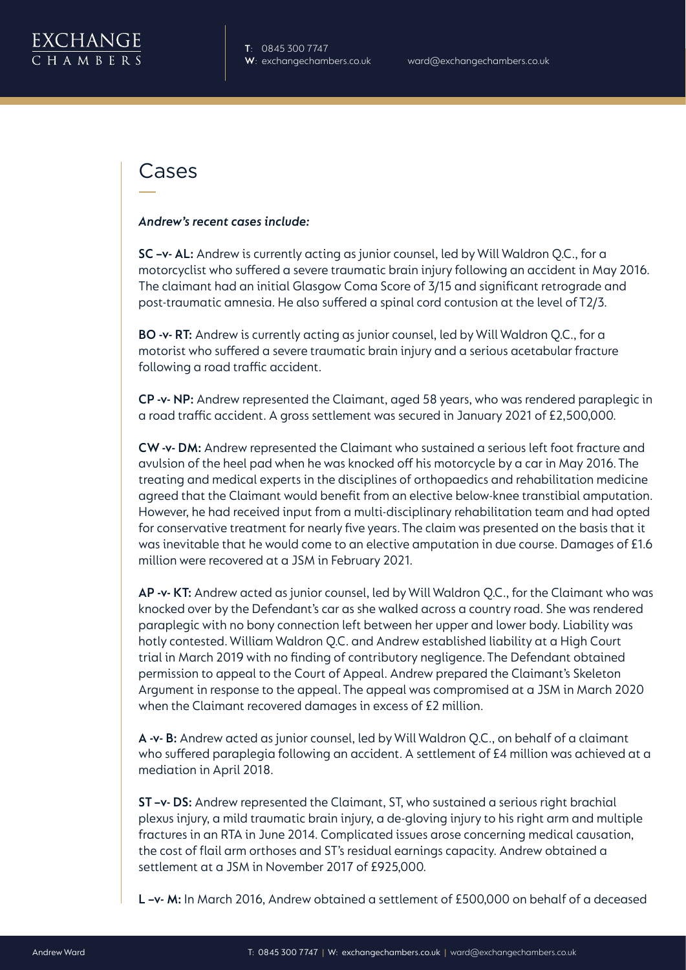

### Cases

#### *Andrew's recent cases include:*

**SC –v- AL:** Andrew is currently acting as junior counsel, led by Will Waldron Q.C., for a motorcyclist who suffered a severe traumatic brain injury following an accident in May 2016. The claimant had an initial Glasgow Coma Score of 3/15 and significant retrograde and post-traumatic amnesia. He also suffered a spinal cord contusion at the level of T2/3.

**BO -v- RT:** Andrew is currently acting as junior counsel, led by Will Waldron Q.C., for a motorist who suffered a severe traumatic brain injury and a serious acetabular fracture following a road traffic accident.

**CP -v- NP:** Andrew represented the Claimant, aged 58 years, who was rendered paraplegic in a road traffic accident. A gross settlement was secured in January 2021 of £2,500,000.

**CW -v- DM:** Andrew represented the Claimant who sustained a serious left foot fracture and avulsion of the heel pad when he was knocked off his motorcycle by a car in May 2016. The treating and medical experts in the disciplines of orthopaedics and rehabilitation medicine agreed that the Claimant would benefit from an elective below-knee transtibial amputation. However, he had received input from a multi-disciplinary rehabilitation team and had opted for conservative treatment for nearly five years. The claim was presented on the basis that it was inevitable that he would come to an elective amputation in due course. Damages of £1.6 million were recovered at a JSM in February 2021.

**AP -v- KT:** Andrew acted as junior counsel, led by Will Waldron Q.C., for the Claimant who was knocked over by the Defendant's car as she walked across a country road. She was rendered paraplegic with no bony connection left between her upper and lower body. Liability was hotly contested. William Waldron Q.C. and Andrew established liability at a High Court trial in March 2019 with no finding of contributory negligence. The Defendant obtained permission to appeal to the Court of Appeal. Andrew prepared the Claimant's Skeleton Argument in response to the appeal. The appeal was compromised at a JSM in March 2020 when the Claimant recovered damages in excess of £2 million.

**A -v- B:** Andrew acted as junior counsel, led by Will Waldron Q.C., on behalf of a claimant who suffered paraplegia following an accident. A settlement of £4 million was achieved at a mediation in April 2018.

**ST –v- DS:** Andrew represented the Claimant, ST, who sustained a serious right brachial plexus injury, a mild traumatic brain injury, a de-gloving injury to his right arm and multiple fractures in an RTA in June 2014. Complicated issues arose concerning medical causation, the cost of flail arm orthoses and ST's residual earnings capacity. Andrew obtained a settlement at a JSM in November 2017 of £925,000.

**L –v- M:** In March 2016, Andrew obtained a settlement of £500,000 on behalf of a deceased